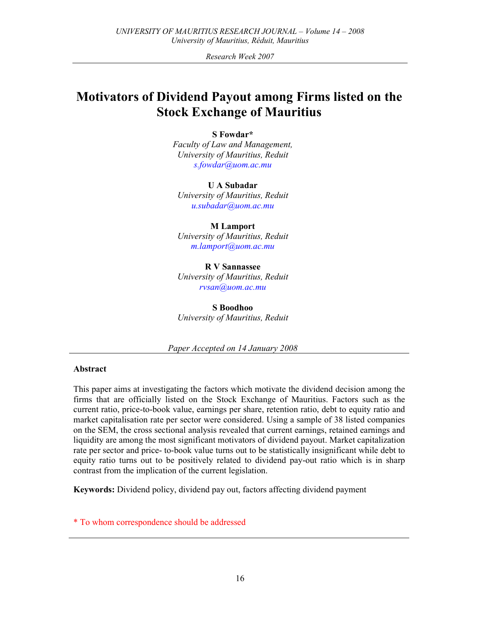Research Week 2007

# Motivators of Dividend Payout among Firms listed on the Stock Exchange of Mauritius

### S Fowdar\*

Faculty of Law and Management, University of Mauritius, Reduit s.fowdar@uom.ac.mu

U A Subadar University of Mauritius, Reduit u.subadar@uom.ac.mu

M Lamport University of Mauritius, Reduit m.lamport@uom.ac.mu

R V Sannassee University of Mauritius, Reduit rvsan@uom.ac.mu

S Boodhoo University of Mauritius, Reduit

Paper Accepted on 14 January 2008

### Abstract

This paper aims at investigating the factors which motivate the dividend decision among the firms that are officially listed on the Stock Exchange of Mauritius. Factors such as the current ratio, price-to-book value, earnings per share, retention ratio, debt to equity ratio and market capitalisation rate per sector were considered. Using a sample of 38 listed companies on the SEM, the cross sectional analysis revealed that current earnings, retained earnings and liquidity are among the most significant motivators of dividend payout. Market capitalization rate per sector and price- to-book value turns out to be statistically insignificant while debt to equity ratio turns out to be positively related to dividend pay-out ratio which is in sharp contrast from the implication of the current legislation.

Keywords: Dividend policy, dividend pay out, factors affecting dividend payment

\* To whom correspondence should be addressed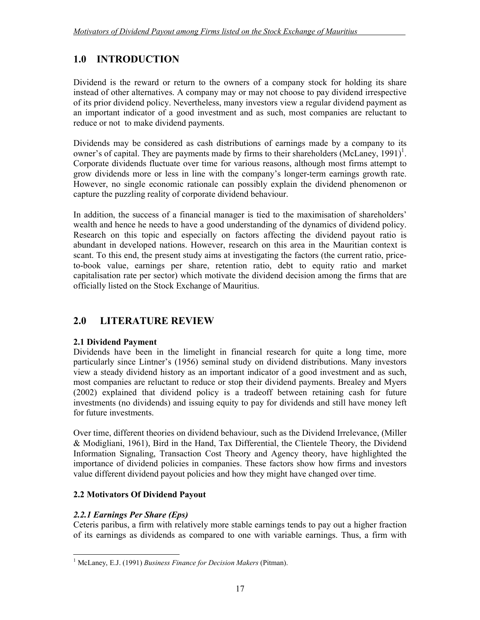## 1.0 INTRODUCTION

Dividend is the reward or return to the owners of a company stock for holding its share instead of other alternatives. A company may or may not choose to pay dividend irrespective of its prior dividend policy. Nevertheless, many investors view a regular dividend payment as an important indicator of a good investment and as such, most companies are reluctant to reduce or not to make dividend payments.

Dividends may be considered as cash distributions of earnings made by a company to its owner's of capital. They are payments made by firms to their shareholders (McLaney, 1991)<sup>1</sup>. Corporate dividends fluctuate over time for various reasons, although most firms attempt to grow dividends more or less in line with the company's longer-term earnings growth rate. However, no single economic rationale can possibly explain the dividend phenomenon or capture the puzzling reality of corporate dividend behaviour.

In addition, the success of a financial manager is tied to the maximisation of shareholders' wealth and hence he needs to have a good understanding of the dynamics of dividend policy. Research on this topic and especially on factors affecting the dividend payout ratio is abundant in developed nations. However, research on this area in the Mauritian context is scant. To this end, the present study aims at investigating the factors (the current ratio, priceto-book value, earnings per share, retention ratio, debt to equity ratio and market capitalisation rate per sector) which motivate the dividend decision among the firms that are officially listed on the Stock Exchange of Mauritius.

## 2.0 LITERATURE REVIEW

## 2.1 Dividend Payment

Dividends have been in the limelight in financial research for quite a long time, more particularly since Lintner's (1956) seminal study on dividend distributions. Many investors view a steady dividend history as an important indicator of a good investment and as such, most companies are reluctant to reduce or stop their dividend payments. Brealey and Myers (2002) explained that dividend policy is a tradeoff between retaining cash for future investments (no dividends) and issuing equity to pay for dividends and still have money left for future investments.

Over time, different theories on dividend behaviour, such as the Dividend Irrelevance, (Miller & Modigliani, 1961), Bird in the Hand, Tax Differential, the Clientele Theory, the Dividend Information Signaling, Transaction Cost Theory and Agency theory, have highlighted the importance of dividend policies in companies. These factors show how firms and investors value different dividend payout policies and how they might have changed over time.

## 2.2 Motivators Of Dividend Payout

## 2.2.1 Earnings Per Share (Eps)

Ceteris paribus, a firm with relatively more stable earnings tends to pay out a higher fraction of its earnings as dividends as compared to one with variable earnings. Thus, a firm with

 1 McLaney, E.J. (1991) Business Finance for Decision Makers (Pitman).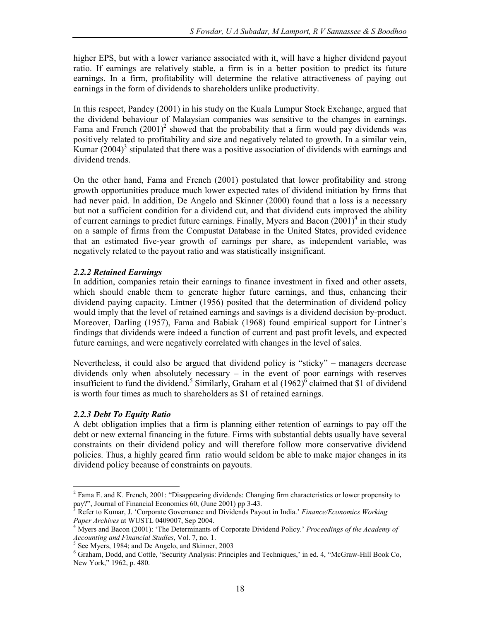higher EPS, but with a lower variance associated with it, will have a higher dividend payout ratio. If earnings are relatively stable, a firm is in a better position to predict its future earnings. In a firm, profitability will determine the relative attractiveness of paying out earnings in the form of dividends to shareholders unlike productivity.

In this respect, Pandey (2001) in his study on the Kuala Lumpur Stock Exchange, argued that the dividend behaviour of Malaysian companies was sensitive to the changes in earnings. Fama and French  $(2001)^2$  showed that the probability that a firm would pay dividends was positively related to profitability and size and negatively related to growth. In a similar vein, Kumar  $(2004)^3$  stipulated that there was a positive association of dividends with earnings and dividend trends.

On the other hand, Fama and French (2001) postulated that lower profitability and strong growth opportunities produce much lower expected rates of dividend initiation by firms that had never paid. In addition, De Angelo and Skinner (2000) found that a loss is a necessary but not a sufficient condition for a dividend cut, and that dividend cuts improved the ability of current earnings to predict future earnings. Finally, Myers and Bacon  $(2001)^4$  in their study on a sample of firms from the Compustat Database in the United States, provided evidence that an estimated five-year growth of earnings per share, as independent variable, was negatively related to the payout ratio and was statistically insignificant.

### 2.2.2 Retained Earnings

In addition, companies retain their earnings to finance investment in fixed and other assets, which should enable them to generate higher future earnings, and thus, enhancing their dividend paying capacity. Lintner (1956) posited that the determination of dividend policy would imply that the level of retained earnings and savings is a dividend decision by-product. Moreover, Darling (1957), Fama and Babiak (1968) found empirical support for Lintner's findings that dividends were indeed a function of current and past profit levels, and expected future earnings, and were negatively correlated with changes in the level of sales.

Nevertheless, it could also be argued that dividend policy is "sticky" – managers decrease dividends only when absolutely necessary – in the event of poor earnings with reserves insufficient to fund the dividend.<sup>5</sup> Similarly, Graham et al  $(1962)^6$  claimed that \$1 of dividend is worth four times as much to shareholders as \$1 of retained earnings.

### 2.2.3 Debt To Equity Ratio

l

A debt obligation implies that a firm is planning either retention of earnings to pay off the debt or new external financing in the future. Firms with substantial debts usually have several constraints on their dividend policy and will therefore follow more conservative dividend policies. Thus, a highly geared firm ratio would seldom be able to make major changes in its dividend policy because of constraints on payouts.

<sup>&</sup>lt;sup>2</sup> Fama E. and K. French, 2001: "Disappearing dividends: Changing firm characteristics or lower propensity to pay?", Journal of Financial Economics 60, (June 2001) pp 3-43.

<sup>3</sup> Refer to Kumar, J. 'Corporate Governance and Dividends Payout in India.' Finance/Economics Working Paper Archives at WUSTL 0409007, Sep 2004.

<sup>&</sup>lt;sup>4</sup> Myers and Bacon (2001): 'The Determinants of Corporate Dividend Policy.' Proceedings of the Academy of Accounting and Financial Studies, Vol. 7, no. 1.

<sup>5</sup> See Myers, 1984; and De Angelo, and Skinner, 2003

<sup>&</sup>lt;sup>6</sup> Graham, Dodd, and Cottle, 'Security Analysis: Principles and Techniques,' in ed. 4, "McGraw-Hill Book Co, New York," 1962, p. 480.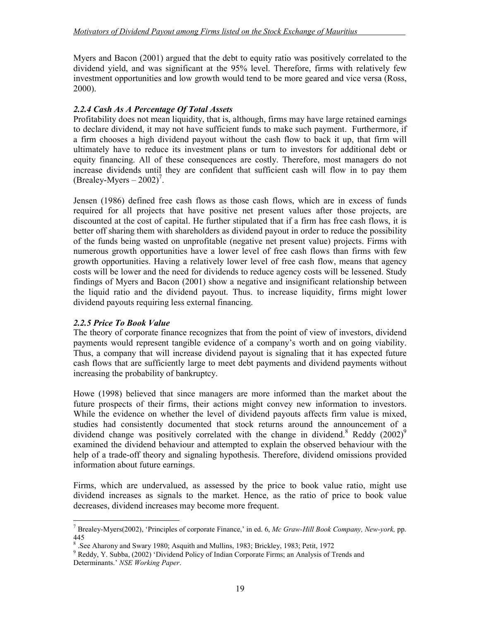Myers and Bacon (2001) argued that the debt to equity ratio was positively correlated to the dividend yield, and was significant at the 95% level. Therefore, firms with relatively few investment opportunities and low growth would tend to be more geared and vice versa (Ross, 2000).

### 2.2.4 Cash As A Percentage Of Total Assets

Profitability does not mean liquidity, that is, although, firms may have large retained earnings to declare dividend, it may not have sufficient funds to make such payment. Furthermore, if a firm chooses a high dividend payout without the cash flow to back it up, that firm will ultimately have to reduce its investment plans or turn to investors for additional debt or equity financing. All of these consequences are costly. Therefore, most managers do not increase dividends until they are confident that sufficient cash will flow in to pay them  $(Brealey-Myers - 2002)^7$ .

Jensen (1986) defined free cash flows as those cash flows, which are in excess of funds required for all projects that have positive net present values after those projects, are discounted at the cost of capital. He further stipulated that if a firm has free cash flows, it is better off sharing them with shareholders as dividend payout in order to reduce the possibility of the funds being wasted on unprofitable (negative net present value) projects. Firms with numerous growth opportunities have a lower level of free cash flows than firms with few growth opportunities. Having a relatively lower level of free cash flow, means that agency costs will be lower and the need for dividends to reduce agency costs will be lessened. Study findings of Myers and Bacon (2001) show a negative and insignificant relationship between the liquid ratio and the dividend payout. Thus. to increase liquidity, firms might lower dividend payouts requiring less external financing.

### 2.2.5 Price To Book Value

The theory of corporate finance recognizes that from the point of view of investors, dividend payments would represent tangible evidence of a company's worth and on going viability. Thus, a company that will increase dividend payout is signaling that it has expected future cash flows that are sufficiently large to meet debt payments and dividend payments without increasing the probability of bankruptcy.

Howe (1998) believed that since managers are more informed than the market about the future prospects of their firms, their actions might convey new information to investors. While the evidence on whether the level of dividend payouts affects firm value is mixed, studies had consistently documented that stock returns around the announcement of a dividend change was positively correlated with the change in dividend.<sup>8</sup> Reddy (2002)<sup>9</sup> examined the dividend behaviour and attempted to explain the observed behaviour with the help of a trade-off theory and signaling hypothesis. Therefore, dividend omissions provided information about future earnings.

Firms, which are undervalued, as assessed by the price to book value ratio, might use dividend increases as signals to the market. Hence, as the ratio of price to book value decreases, dividend increases may become more frequent.

 $\overline{a}$ <sup>7</sup> Brealey-Myers(2002), 'Principles of corporate Finance,' in ed. 6, Mc Graw-Hill Book Company, New-york, pp. 445

<sup>&</sup>lt;sup>8</sup> .See Aharony and Swary 1980; Asquith and Mullins, 1983; Brickley, 1983; Petit, 1972

<sup>&</sup>lt;sup>9</sup> Reddy, Y. Subba, (2002) 'Dividend Policy of Indian Corporate Firms; an Analysis of Trends and Determinants.' NSE Working Paper.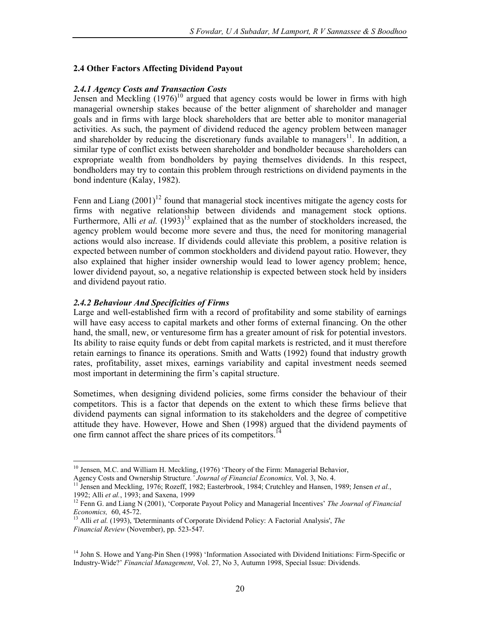### 2.4 Other Factors Affecting Dividend Payout

### 2.4.1 Agency Costs and Transaction Costs

Jensen and Meckling  $(1976)^{10}$  argued that agency costs would be lower in firms with high managerial ownership stakes because of the better alignment of shareholder and manager goals and in firms with large block shareholders that are better able to monitor managerial activities. As such, the payment of dividend reduced the agency problem between manager and shareholder by reducing the discretionary funds available to managers<sup>11</sup>. In addition, a similar type of conflict exists between shareholder and bondholder because shareholders can expropriate wealth from bondholders by paying themselves dividends. In this respect, bondholders may try to contain this problem through restrictions on dividend payments in the bond indenture (Kalay, 1982).

Fenn and Liang  $(2001)^{12}$  found that managerial stock incentives mitigate the agency costs for firms with negative relationship between dividends and management stock options. Furthermore, Alli *et al.*  $(1993)^{13}$  explained that as the number of stockholders increased, the agency problem would become more severe and thus, the need for monitoring managerial actions would also increase. If dividends could alleviate this problem, a positive relation is expected between number of common stockholders and dividend payout ratio. However, they also explained that higher insider ownership would lead to lower agency problem; hence, lower dividend payout, so, a negative relationship is expected between stock held by insiders and dividend payout ratio.

### 2.4.2 Behaviour And Specificities of Firms

Large and well-established firm with a record of profitability and some stability of earnings will have easy access to capital markets and other forms of external financing. On the other hand, the small, new, or venturesome firm has a greater amount of risk for potential investors. Its ability to raise equity funds or debt from capital markets is restricted, and it must therefore retain earnings to finance its operations. Smith and Watts (1992) found that industry growth rates, profitability, asset mixes, earnings variability and capital investment needs seemed most important in determining the firm's capital structure.

Sometimes, when designing dividend policies, some firms consider the behaviour of their competitors. This is a factor that depends on the extent to which these firms believe that dividend payments can signal information to its stakeholders and the degree of competitive attitude they have. However, Howe and Shen (1998) argued that the dividend payments of one firm cannot affect the share prices of its competitors.<sup>14</sup>

l <sup>10</sup> Jensen, M.C. and William H. Meckling, (1976) 'Theory of the Firm: Managerial Behavior,

Agency Costs and Ownership Structure.' Journal of Financial Economics, Vol. 3, No. 4.

Jensen and Meckling, 1976; Rozeff, 1982; Easterbrook, 1984; Crutchley and Hansen, 1989; Jensen et al., 1992; Alli et al., 1993; and Saxena, 1999

<sup>&</sup>lt;sup>12</sup> Fenn G. and Liang N (2001), 'Corporate Payout Policy and Managerial Incentives' The Journal of Financial Economics, 60, 45-72.

 $13$  Alli et al. (1993), 'Determinants of Corporate Dividend Policy: A Factorial Analysis', The Financial Review (November), pp. 523-547.

<sup>&</sup>lt;sup>14</sup> John S. Howe and Yang-Pin Shen (1998) 'Information Associated with Dividend Initiations: Firm-Specific or Industry-Wide?' Financial Management, Vol. 27, No 3, Autumn 1998, Special Issue: Dividends.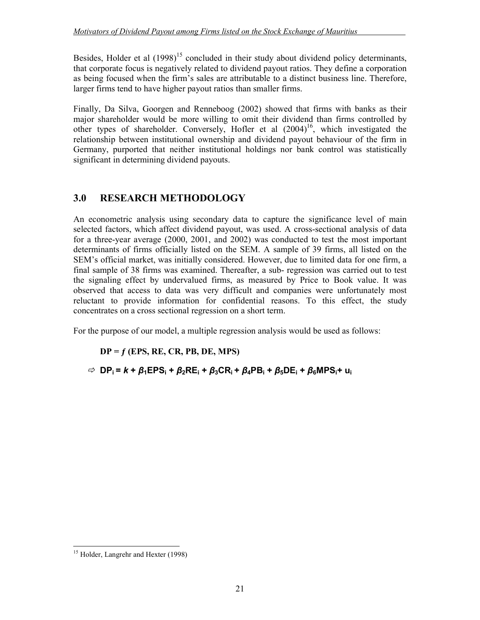Besides, Holder et al  $(1998)^{15}$  concluded in their study about dividend policy determinants, that corporate focus is negatively related to dividend payout ratios. They define a corporation as being focused when the firm's sales are attributable to a distinct business line. Therefore, larger firms tend to have higher payout ratios than smaller firms.

Finally, Da Silva, Goorgen and Renneboog (2002) showed that firms with banks as their major shareholder would be more willing to omit their dividend than firms controlled by other types of shareholder. Conversely, Hofler et al  $(2004)^{16}$ , which investigated the relationship between institutional ownership and dividend payout behaviour of the firm in Germany, purported that neither institutional holdings nor bank control was statistically significant in determining dividend payouts.

## 3.0 RESEARCH METHODOLOGY

An econometric analysis using secondary data to capture the significance level of main selected factors, which affect dividend payout, was used. A cross-sectional analysis of data for a three-year average (2000, 2001, and 2002) was conducted to test the most important determinants of firms officially listed on the SEM. A sample of 39 firms, all listed on the SEM's official market, was initially considered. However, due to limited data for one firm, a final sample of 38 firms was examined. Thereafter, a sub- regression was carried out to test the signaling effect by undervalued firms, as measured by Price to Book value. It was observed that access to data was very difficult and companies were unfortunately most reluctant to provide information for confidential reasons. To this effect, the study concentrates on a cross sectional regression on a short term.

For the purpose of our model, a multiple regression analysis would be used as follows:

## $DP = f$  (EPS, RE, CR, PB, DE, MPS)

 $\Rightarrow$  DP<sub>i</sub> = k +  $\beta_1$ EPS<sub>i</sub> +  $\beta_2$ RE<sub>i</sub> +  $\beta_3$ CR<sub>i</sub> +  $\beta_4$ PB<sub>i</sub> +  $\beta_5$ DE<sub>i</sub> +  $\beta_6$ MPS<sub>i</sub> + u<sub>i</sub>

 $\overline{a}$ 

<sup>&</sup>lt;sup>15</sup> Holder, Langrehr and Hexter (1998)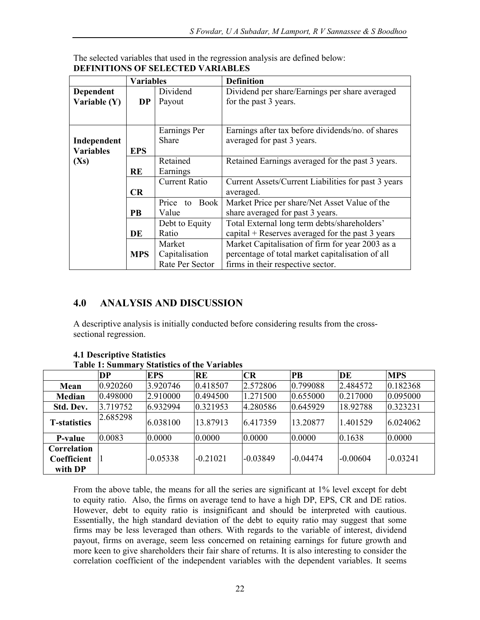|                  | <b>Variables</b>    |                      | <b>Definition</b>                                   |  |  |
|------------------|---------------------|----------------------|-----------------------------------------------------|--|--|
| <b>Dependent</b> |                     | Dividend             | Dividend per share/Earnings per share averaged      |  |  |
| Variable (Y)     | <b>DP</b>           | Payout               | for the past 3 years.                               |  |  |
|                  |                     |                      |                                                     |  |  |
|                  |                     |                      |                                                     |  |  |
|                  |                     | Earnings Per         | Earnings after tax before dividends/no. of shares   |  |  |
| Independent      |                     | <b>Share</b>         | averaged for past 3 years.                          |  |  |
| <b>Variables</b> | <b>EPS</b>          |                      |                                                     |  |  |
| (Xs)             |                     | Retained             | Retained Earnings averaged for the past 3 years.    |  |  |
|                  | <b>RE</b>           | Earnings             |                                                     |  |  |
|                  |                     | <b>Current Ratio</b> | Current Assets/Current Liabilities for past 3 years |  |  |
|                  | CR                  |                      | averaged.                                           |  |  |
|                  | Price<br>Book<br>to |                      | Market Price per share/Net Asset Value of the       |  |  |
|                  | PВ                  | Value                | share averaged for past 3 years.                    |  |  |
|                  |                     | Debt to Equity       | Total External long term debts/shareholders'        |  |  |
|                  | DE                  | Ratio                | capital $+$ Reserves averaged for the past 3 years  |  |  |
|                  |                     | Market               | Market Capitalisation of firm for year 2003 as a    |  |  |
|                  | <b>MPS</b>          | Capitalisation       | percentage of total market capitalisation of all    |  |  |
|                  |                     | Rate Per Sector      | firms in their respective sector.                   |  |  |

The selected variables that used in the regression analysis are defined below: DEFINITIONS OF SELECTED VARIABLES

## 4.0 ANALYSIS AND DISCUSSION

A descriptive analysis is initially conducted before considering results from the crosssectional regression.

|                                       | <b>DP</b> | EPS        | <b>RE</b>  | CR         | $\overline{PB}$ | DE       | <b>MPS</b> |
|---------------------------------------|-----------|------------|------------|------------|-----------------|----------|------------|
| Mean                                  | 0.920260  | 3.920746   | 0.418507   | 2.572806   | 0.799088        | 2.484572 | 0.182368   |
| Median                                | 0.498000  | 2.910000   | 0.494500   | 1.271500   | 0.655000        | 0.217000 | 0.095000   |
| Std. Dev.                             | 3.719752  | 6.932994   | 0.321953   | 4.280586   | 0.645929        | 18.92788 | 0.323231   |
| <b>T-statistics</b>                   | 2.685298  | 6.038100   | 13.87913   | 6.417359   | 13.20877        | 1.401529 | 6.024062   |
| <b>P-value</b>                        | 0.0083    | 0.0000     | 0.0000     | 0.0000     | 0.0000          | 0.1638   | 0.0000     |
| Correlation<br>Coefficient<br>with DP |           | $-0.05338$ | $-0.21021$ | $-0.03849$ | $-0.04474$      | -0.00604 | $-0.03241$ |

#### 4.1 Descriptive Statistics Table 1: Summary Statistics of the Variables

From the above table, the means for all the series are significant at 1% level except for debt to equity ratio. Also, the firms on average tend to have a high DP, EPS, CR and DE ratios. However, debt to equity ratio is insignificant and should be interpreted with cautious. Essentially, the high standard deviation of the debt to equity ratio may suggest that some firms may be less leveraged than others. With regards to the variable of interest, dividend payout, firms on average, seem less concerned on retaining earnings for future growth and more keen to give shareholders their fair share of returns. It is also interesting to consider the correlation coefficient of the independent variables with the dependent variables. It seems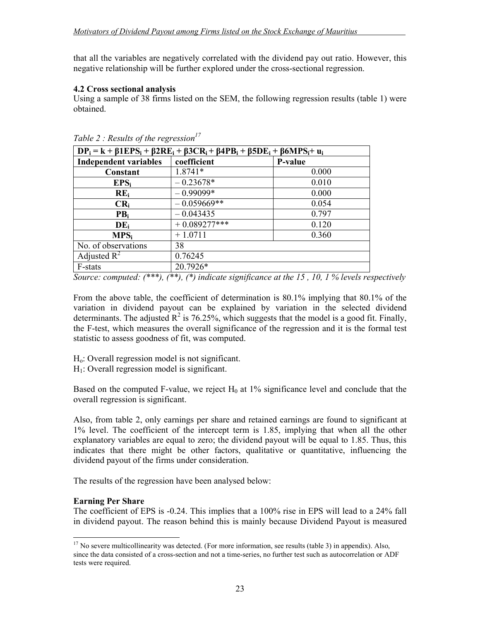that all the variables are negatively correlated with the dividend pay out ratio. However, this negative relationship will be further explored under the cross-sectional regression.

### 4.2 Cross sectional analysis

Using a sample of 38 firms listed on the SEM, the following regression results (table 1) were obtained.

| $DP_i = k + \beta 1 EPS_i + \beta 2RE_i + \beta 3CR_i + \beta 4PB_i + \beta 5DE_i + \beta 6MPS_i + u_i$ |                |         |  |  |
|---------------------------------------------------------------------------------------------------------|----------------|---------|--|--|
| <b>Independent variables</b>                                                                            | coefficient    | P-value |  |  |
| Constant                                                                                                | 1.8741*        | 0.000   |  |  |
| EPS <sub>i</sub>                                                                                        | $-0.23678*$    | 0.010   |  |  |
| $RE_i$                                                                                                  | $-0.99099*$    | 0.000   |  |  |
| $CR_i$                                                                                                  | $-0.059669**$  | 0.054   |  |  |
| PB <sub>i</sub>                                                                                         | $-0.043435$    | 0.797   |  |  |
| $DE_i$                                                                                                  | $+0.089277***$ | 0.120   |  |  |
| $MPS_i$                                                                                                 | $+1.0711$      | 0.360   |  |  |
| No. of observations                                                                                     | 38             |         |  |  |
| Adjusted $R^2$                                                                                          | 0.76245        |         |  |  |
| F-stats                                                                                                 | 20.7926*       |         |  |  |

Table 2 : Results of the regression<sup>17</sup>

Source: computed:  $(***)$ ,  $(*)$ ,  $(*)$  indicate significance at the 15, 10, 1% levels respectively

From the above table, the coefficient of determination is 80.1% implying that 80.1% of the variation in dividend payout can be explained by variation in the selected dividend determinants. The adjusted  $R^2$  is 76.25%, which suggests that the model is a good fit. Finally, the F-test, which measures the overall significance of the regression and it is the formal test statistic to assess goodness of fit, was computed.

- Ho: Overall regression model is not significant.
- $H_1$ : Overall regression model is significant.

Based on the computed F-value, we reject  $H_0$  at 1% significance level and conclude that the overall regression is significant.

Also, from table 2, only earnings per share and retained earnings are found to significant at 1% level. The coefficient of the intercept term is 1.85, implying that when all the other explanatory variables are equal to zero; the dividend payout will be equal to 1.85. Thus, this indicates that there might be other factors, qualitative or quantitative, influencing the dividend payout of the firms under consideration.

The results of the regression have been analysed below:

### Earning Per Share

 $\overline{a}$ 

The coefficient of EPS is -0.24. This implies that a 100% rise in EPS will lead to a 24% fall in dividend payout. The reason behind this is mainly because Dividend Payout is measured

<sup>&</sup>lt;sup>17</sup> No severe multicollinearity was detected. (For more information, see results (table 3) in appendix). Also, since the data consisted of a cross-section and not a time-series, no further test such as autocorrelation or ADF tests were required.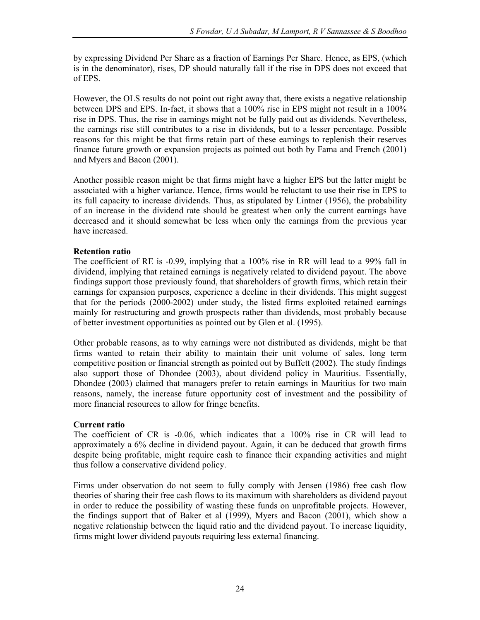by expressing Dividend Per Share as a fraction of Earnings Per Share. Hence, as EPS, (which is in the denominator), rises, DP should naturally fall if the rise in DPS does not exceed that of EPS.

However, the OLS results do not point out right away that, there exists a negative relationship between DPS and EPS. In-fact, it shows that a 100% rise in EPS might not result in a 100% rise in DPS. Thus, the rise in earnings might not be fully paid out as dividends. Nevertheless, the earnings rise still contributes to a rise in dividends, but to a lesser percentage. Possible reasons for this might be that firms retain part of these earnings to replenish their reserves finance future growth or expansion projects as pointed out both by Fama and French (2001) and Myers and Bacon (2001).

Another possible reason might be that firms might have a higher EPS but the latter might be associated with a higher variance. Hence, firms would be reluctant to use their rise in EPS to its full capacity to increase dividends. Thus, as stipulated by Lintner (1956), the probability of an increase in the dividend rate should be greatest when only the current earnings have decreased and it should somewhat be less when only the earnings from the previous year have increased.

### Retention ratio

The coefficient of RE is -0.99, implying that a 100% rise in RR will lead to a 99% fall in dividend, implying that retained earnings is negatively related to dividend payout. The above findings support those previously found, that shareholders of growth firms, which retain their earnings for expansion purposes, experience a decline in their dividends. This might suggest that for the periods (2000-2002) under study, the listed firms exploited retained earnings mainly for restructuring and growth prospects rather than dividends, most probably because of better investment opportunities as pointed out by Glen et al. (1995).

Other probable reasons, as to why earnings were not distributed as dividends, might be that firms wanted to retain their ability to maintain their unit volume of sales, long term competitive position or financial strength as pointed out by Buffett (2002). The study findings also support those of Dhondee (2003), about dividend policy in Mauritius. Essentially, Dhondee (2003) claimed that managers prefer to retain earnings in Mauritius for two main reasons, namely, the increase future opportunity cost of investment and the possibility of more financial resources to allow for fringe benefits.

### Current ratio

The coefficient of CR is -0.06, which indicates that a 100% rise in CR will lead to approximately a 6% decline in dividend payout. Again, it can be deduced that growth firms despite being profitable, might require cash to finance their expanding activities and might thus follow a conservative dividend policy.

Firms under observation do not seem to fully comply with Jensen (1986) free cash flow theories of sharing their free cash flows to its maximum with shareholders as dividend payout in order to reduce the possibility of wasting these funds on unprofitable projects. However, the findings support that of Baker et al (1999), Myers and Bacon (2001), which show a negative relationship between the liquid ratio and the dividend payout. To increase liquidity, firms might lower dividend payouts requiring less external financing.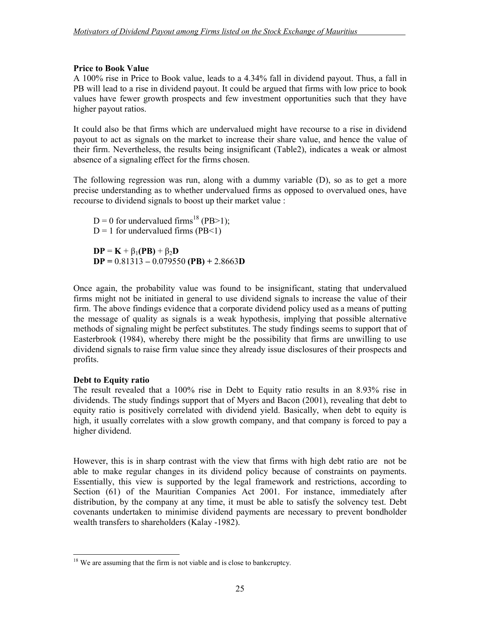### Price to Book Value

A 100% rise in Price to Book value, leads to a 4.34% fall in dividend payout. Thus, a fall in PB will lead to a rise in dividend payout. It could be argued that firms with low price to book values have fewer growth prospects and few investment opportunities such that they have higher payout ratios.

It could also be that firms which are undervalued might have recourse to a rise in dividend payout to act as signals on the market to increase their share value, and hence the value of their firm. Nevertheless, the results being insignificant (Table2), indicates a weak or almost absence of a signaling effect for the firms chosen.

The following regression was run, along with a dummy variable (D), so as to get a more precise understanding as to whether undervalued firms as opposed to overvalued ones, have recourse to dividend signals to boost up their market value :

 $D = 0$  for undervalued firms<sup>18</sup> (PB>1);  $D = 1$  for undervalued firms (PB<1)  $DP = K + \beta_1(PB) + \beta_2D$  $DP = 0.81313 - 0.079550 (PB) + 2.8663D$ 

Once again, the probability value was found to be insignificant, stating that undervalued firms might not be initiated in general to use dividend signals to increase the value of their firm. The above findings evidence that a corporate dividend policy used as a means of putting the message of quality as signals is a weak hypothesis, implying that possible alternative methods of signaling might be perfect substitutes. The study findings seems to support that of Easterbrook (1984), whereby there might be the possibility that firms are unwilling to use dividend signals to raise firm value since they already issue disclosures of their prospects and profits.

### Debt to Equity ratio

The result revealed that a 100% rise in Debt to Equity ratio results in an 8.93% rise in dividends. The study findings support that of Myers and Bacon (2001), revealing that debt to equity ratio is positively correlated with dividend yield. Basically, when debt to equity is high, it usually correlates with a slow growth company, and that company is forced to pay a higher dividend.

However, this is in sharp contrast with the view that firms with high debt ratio are not be able to make regular changes in its dividend policy because of constraints on payments. Essentially, this view is supported by the legal framework and restrictions, according to Section (61) of the Mauritian Companies Act 2001. For instance, immediately after distribution, by the company at any time, it must be able to satisfy the solvency test. Debt covenants undertaken to minimise dividend payments are necessary to prevent bondholder wealth transfers to shareholders (Kalay -1982).

 $\overline{a}$  $18$  We are assuming that the firm is not viable and is close to bankcruptcy.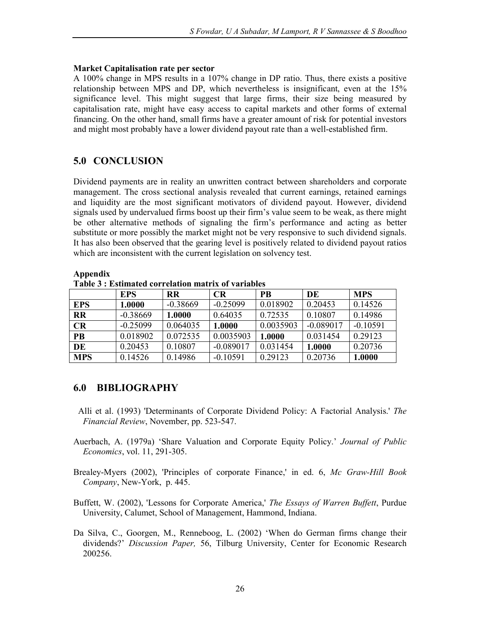### Market Capitalisation rate per sector

A 100% change in MPS results in a 107% change in DP ratio. Thus, there exists a positive relationship between MPS and DP, which nevertheless is insignificant, even at the 15% significance level. This might suggest that large firms, their size being measured by capitalisation rate, might have easy access to capital markets and other forms of external financing. On the other hand, small firms have a greater amount of risk for potential investors and might most probably have a lower dividend payout rate than a well-established firm.

## 5.0 CONCLUSION

Dividend payments are in reality an unwritten contract between shareholders and corporate management. The cross sectional analysis revealed that current earnings, retained earnings and liquidity are the most significant motivators of dividend payout. However, dividend signals used by undervalued firms boost up their firm's value seem to be weak, as there might be other alternative methods of signaling the firm's performance and acting as better substitute or more possibly the market might not be very responsive to such dividend signals. It has also been observed that the gearing level is positively related to dividend payout ratios which are inconsistent with the current legislation on solvency test.

| таріс о темпінаци соггенацон піадтіх ог тагіаріся |            |            |             |           |             |            |  |
|---------------------------------------------------|------------|------------|-------------|-----------|-------------|------------|--|
|                                                   | <b>EPS</b> | <b>RR</b>  | <b>CR</b>   | <b>PB</b> | DE          | <b>MPS</b> |  |
| <b>EPS</b>                                        | 1.0000     | $-0.38669$ | $-0.25099$  | 0.018902  | 0.20453     | 0.14526    |  |
| <b>RR</b>                                         | $-0.38669$ | 1.0000     | 0.64035     | 0.72535   | 0.10807     | 0.14986    |  |
| CR                                                | $-0.25099$ | 0.064035   | 1.0000      | 0.0035903 | $-0.089017$ | $-0.10591$ |  |
| <b>PB</b>                                         | 0.018902   | 0.072535   | 0.0035903   | 1.0000    | 0.031454    | 0.29123    |  |
| DE                                                | 0.20453    | 0.10807    | $-0.089017$ | 0.031454  | 1.0000      | 0.20736    |  |
| <b>MPS</b>                                        | 0.14526    | 0.14986    | $-0.10591$  | 0.29123   | 0.20736     | 1.0000     |  |

Appendix Table 3 : Estimated correlation matrix of variables

## 6.0 BIBLIOGRAPHY

- Alli et al. (1993) 'Determinants of Corporate Dividend Policy: A Factorial Analysis.' The Financial Review, November, pp. 523-547.
- Auerbach, A. (1979a) 'Share Valuation and Corporate Equity Policy.' Journal of Public Economics, vol. 11, 291-305.
- Brealey-Myers (2002), 'Principles of corporate Finance,' in ed. 6, Mc Graw-Hill Book Company, New-York, p. 445.
- Buffett, W. (2002), 'Lessons for Corporate America,' The Essays of Warren Buffett, Purdue University, Calumet, School of Management, Hammond, Indiana.
- Da Silva, C., Goorgen, M., Renneboog, L. (2002) 'When do German firms change their dividends?' Discussion Paper, 56, Tilburg University, Center for Economic Research 200256.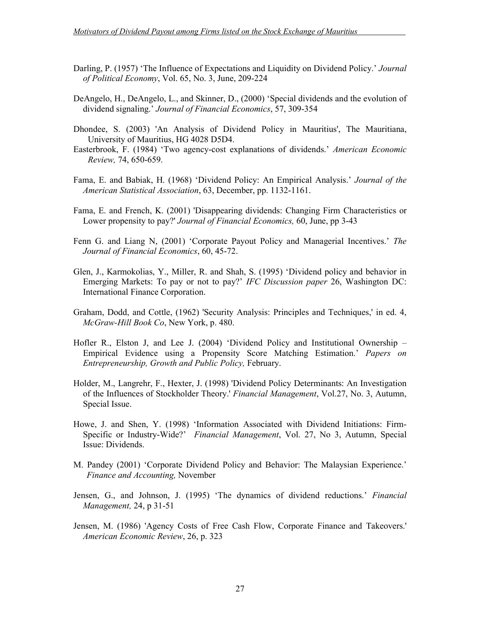- Darling, P. (1957) 'The Influence of Expectations and Liquidity on Dividend Policy.' Journal of Political Economy, Vol. 65, No. 3, June, 209-224
- DeAngelo, H., DeAngelo, L., and Skinner, D., (2000) 'Special dividends and the evolution of dividend signaling.' Journal of Financial Economics, 57, 309-354
- Dhondee, S. (2003) 'An Analysis of Dividend Policy in Mauritius', The Mauritiana, University of Mauritius, HG 4028 D5D4.
- Easterbrook, F. (1984) 'Two agency-cost explanations of dividends.' American Economic Review, 74, 650-659.
- Fama, E. and Babiak, H. (1968) 'Dividend Policy: An Empirical Analysis.' Journal of the American Statistical Association, 63, December, pp. 1132-1161.
- Fama, E. and French, K. (2001) 'Disappearing dividends: Changing Firm Characteristics or Lower propensity to pay?' Journal of Financial Economics, 60, June, pp 3-43
- Fenn G. and Liang N, (2001) 'Corporate Payout Policy and Managerial Incentives.' The Journal of Financial Economics, 60, 45-72.
- Glen, J., Karmokolias, Y., Miller, R. and Shah, S. (1995) 'Dividend policy and behavior in Emerging Markets: To pay or not to pay?' IFC Discussion paper 26, Washington DC: International Finance Corporation.
- Graham, Dodd, and Cottle, (1962) 'Security Analysis: Principles and Techniques,' in ed. 4, McGraw-Hill Book Co, New York, p. 480.
- Hofler R., Elston J, and Lee J. (2004) 'Dividend Policy and Institutional Ownership Empirical Evidence using a Propensity Score Matching Estimation.' Papers on Entrepreneurship, Growth and Public Policy, February.
- Holder, M., Langrehr, F., Hexter, J. (1998) 'Dividend Policy Determinants: An Investigation of the Influences of Stockholder Theory.' Financial Management, Vol.27, No. 3, Autumn, Special Issue.
- Howe, J. and Shen, Y. (1998) 'Information Associated with Dividend Initiations: Firm-Specific or Industry-Wide?' Financial Management, Vol. 27, No 3, Autumn, Special Issue: Dividends.
- M. Pandey (2001) 'Corporate Dividend Policy and Behavior: The Malaysian Experience.' Finance and Accounting, November
- Jensen, G., and Johnson, J. (1995) 'The dynamics of dividend reductions.' Financial Management, 24, p 31-51
- Jensen, M. (1986) 'Agency Costs of Free Cash Flow, Corporate Finance and Takeovers.' American Economic Review, 26, p. 323